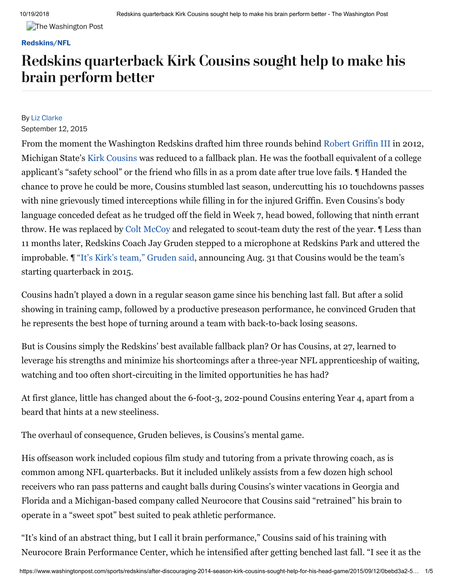**The Washington Post** 

### **[Redskins/NFL](https://www.washingtonpost.com/sports/redskins)**

## Redskins quarterback Kirk Cousins sought help to make his brain perform better

## By Liz [Clarke](https://www.washingtonpost.com/people/liz-clarke/)

### September 12, 2015

From the moment the Washington Redskins drafted him three rounds behind [Robert Griffin III](http://stats.washingtonpost.com/fb/playerstats.asp?id=25712&team=28) in 2012, Michigan State's [Kirk Cousins](http://stats.washingtonpost.com/fb/playerstats.asp?id=25812) was reduced to a fallback plan. He was the football equivalent of a college applicant's "safety school" or the friend who fills in as a prom date after true love fails. ¶ Handed the chance to prove he could be more, Cousins stumbled last season, undercutting his 10 touchdowns passes with nine grievously timed interceptions while filling in for the injured Griffin. Even Cousins's body language conceded defeat as he trudged off the field in Week 7, head bowed, following that ninth errant throw. He was replaced by [Colt McCoy](http://stats.washingtonpost.com/fb/playerstats.asp?id=24060) and relegated to scout-team duty the rest of the year. ¶ Less than 11 months later, Redskins Coach Jay Gruden stepped to a microphone at Redskins Park and uttered the improbable. ¶ ["It's Kirk's team," Gruden said,](https://www.washingtonpost.com/news/football-insider/wp/2015/08/31/redskins-to-start-kirk-cousins-in-week-1/) announcing Aug. 31 that Cousins would be the team's starting quarterback in 2015.

Cousins hadn't played a down in a regular season game since his benching last fall. But after a solid showing in training camp, followed by a productive preseason performance, he convinced Gruden that he represents the best hope of turning around a team with back-to-back losing seasons.

But is Cousins simply the Redskins' best available fallback plan? Or has Cousins, at 27, learned to leverage his strengths and minimize his shortcomings after a three-year NFL apprenticeship of waiting, watching and too often short-circuiting in the limited opportunities he has had?

At first glance, little has changed about the 6-foot-3, 202-pound Cousins entering Year 4, apart from a beard that hints at a new steeliness.

The overhaul of consequence, Gruden believes, is Cousins's mental game.

His offseason work included copious film study and tutoring from a private throwing coach, as is common among NFL quarterbacks. But it included unlikely assists from a few dozen high school receivers who ran pass patterns and caught balls during Cousins's winter vacations in Georgia and Florida and a Michigan-based company called Neurocore that Cousins said "retrained" his brain to operate in a "sweet spot" best suited to peak athletic performance.

"It's kind of an abstract thing, but I call it brain performance," Cousins said of his training with Neurocore Brain Performance Center, which he intensified after getting benched last fall. "I see it as the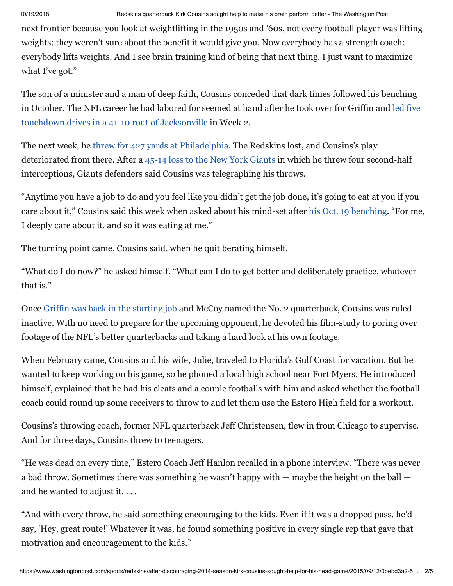next frontier because you look at weightlifting in the 1950s and '60s, not every football player was lifting weights; they weren't sure about the benefit it would give you. Now everybody has a strength coach; everybody lifts weights. And I see brain training kind of being that next thing. I just want to maximize what I've got."

The son of a minister and a man of deep faith, Cousins conceded that dark times followed his benching [in October. The NFL career he had labored for seemed at hand after he took over for Griffin and led five](https://www.washingtonpost.com/sports/robert-griffin-iii-is-injured-but-redskins-rally-behind-kirk-cousins-to-beat-jaguars/2014/09/14/4f429294-3ba8-11e4-8601-97ba88884ffd_story.html) touchdown drives in a 41-10 rout of Jacksonville in Week 2.

The next week, he [threw for 427 yards at Philadelphia.](https://www.washingtonpost.com/sports/kirk-cousins-passes-for-427-yards-but-eagles-top-redskins-37-34-in-fiesty-affair/2014/09/21/3c0ef45a-4149-11e4-b0ea-8141703bbf6f_story.html) The Redskins lost, and Cousins's play deteriorated from there. After a [45-14 loss to the New York Giants](https://www.washingtonpost.com/sports/kirk-cousins-has-five-turnovers-eli-manning-has-five-tds-and-giants-top-redskins-45-14/2014/09/26/cf6b8294-450a-11e4-b437-1a7368204804_story.html) in which he threw four second-half interceptions, Giants defenders said Cousins was telegraphing his throws.

"Anytime you have a job to do and you feel like you didn't get the job done, it's going to eat at you if you care about it," Cousins said this week when asked about his mind-set after [his Oct. 19 benching](https://www.washingtonpost.com/sports/redskins/colt-mccoy-steps-in-during-the-second-half-leads-redskins-to-19-17-victory-over-titans/2014/10/19/85c43be4-57c6-11e4-bd61-346aee66ba29_story.html). "For me, I deeply care about it, and so it was eating at me."

The turning point came, Cousins said, when he quit berating himself.

"What do I do now?" he asked himself. "What can I do to get better and deliberately practice, whatever that is."

Once [Griffin was back in the starting job](https://www.washingtonpost.com/sports/redskins/jay-gruden-turns-back-to-robert-griffin-iii-this-time-with-a-more-positive-outlook/2014/12/15/62410bc4-84b8-11e4-9534-f79a23c40e6c_story.html) and McCoy named the No. 2 quarterback, Cousins was ruled inactive. With no need to prepare for the upcoming opponent, he devoted his film-study to poring over footage of the NFL's better quarterbacks and taking a hard look at his own footage.

When February came, Cousins and his wife, Julie, traveled to Florida's Gulf Coast for vacation. But he wanted to keep working on his game, so he phoned a local high school near Fort Myers. He introduced himself, explained that he had his cleats and a couple footballs with him and asked whether the football coach could round up some receivers to throw to and let them use the Estero High field for a workout.

Cousins's throwing coach, former NFL quarterback Jeff Christensen, flew in from Chicago to supervise. And for three days, Cousins threw to teenagers.

"He was dead on every time," Estero Coach Jeff Hanlon recalled in a phone interview. "There was never a bad throw. Sometimes there was something he wasn't happy with — maybe the height on the ball and he wanted to adjust it. . . .

"And with every throw, he said something encouraging to the kids. Even if it was a dropped pass, he'd say, 'Hey, great route!' Whatever it was, he found something positive in every single rep that gave that motivation and encouragement to the kids."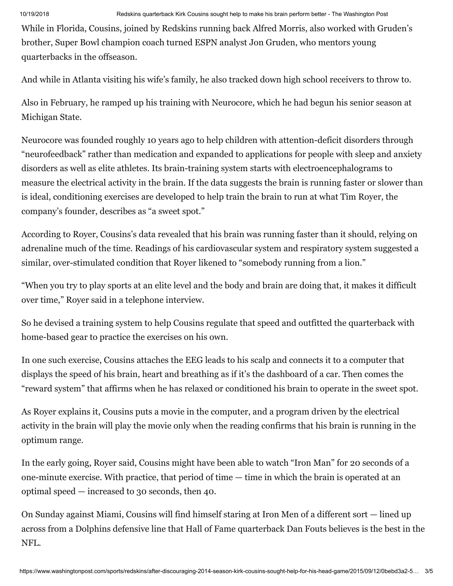While in Florida, Cousins, joined by Redskins running back Alfred Morris, also worked with Gruden's brother, Super Bowl champion coach turned ESPN analyst Jon Gruden, who mentors young quarterbacks in the offseason.

And while in Atlanta visiting his wife's family, he also tracked down high school receivers to throw to.

Also in February, he ramped up his training with Neurocore, which he had begun his senior season at Michigan State.

Neurocore was founded roughly 10 years ago to help children with attention-deficit disorders through "neurofeedback" rather than medication and expanded to applications for people with sleep and anxiety disorders as well as elite athletes. Its brain-training system starts with electroencephalograms to measure the electrical activity in the brain. If the data suggests the brain is running faster or slower than is ideal, conditioning exercises are developed to help train the brain to run at what Tim Royer, the company's founder, describes as "a sweet spot."

According to Royer, Cousins's data revealed that his brain was running faster than it should, relying on adrenaline much of the time. Readings of his cardiovascular system and respiratory system suggested a similar, over-stimulated condition that Royer likened to "somebody running from a lion."

"When you try to play sports at an elite level and the body and brain are doing that, it makes it difficult over time," Royer said in a telephone interview.

So he devised a training system to help Cousins regulate that speed and outfitted the quarterback with home-based gear to practice the exercises on his own.

In one such exercise, Cousins attaches the EEG leads to his scalp and connects it to a computer that displays the speed of his brain, heart and breathing as if it's the dashboard of a car. Then comes the "reward system" that affirms when he has relaxed or conditioned his brain to operate in the sweet spot.

As Royer explains it, Cousins puts a movie in the computer, and a program driven by the electrical activity in the brain will play the movie only when the reading confirms that his brain is running in the optimum range.

In the early going, Royer said, Cousins might have been able to watch "Iron Man" for 20 seconds of a one-minute exercise. With practice, that period of time — time in which the brain is operated at an optimal speed — increased to 30 seconds, then 40.

On Sunday against Miami, Cousins will find himself staring at Iron Men of a different sort — lined up across from a Dolphins defensive line that Hall of Fame quarterback Dan Fouts believes is the best in the NFL.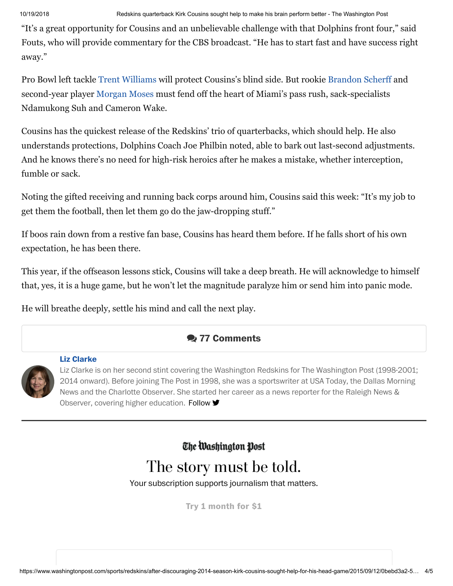"It's a great opportunity for Cousins and an unbelievable challenge with that Dolphins front four," said Fouts, who will provide commentary for the CBS broadcast. "He has to start fast and have success right away."

Pro Bowl left tackle [Trent Williams](http://stats.washingtonpost.com/fb/playerstats.asp?id=23979) will protect Cousins's blind side. But rookie [Brandon Scherff](http://stats.washingtonpost.com/fb/playerstats.asp?id=28393) and second-year player [Morgan Moses](http://stats.washingtonpost.com/fb/playerstats.asp?id=27594) must fend off the heart of Miami's pass rush, sack-specialists Ndamukong Suh and Cameron Wake.

Cousins has the quickest release of the Redskins' trio of quarterbacks, which should help. He also understands protections, Dolphins Coach Joe Philbin noted, able to bark out last-second adjustments. And he knows there's no need for high-risk heroics after he makes a mistake, whether interception, fumble or sack.

Noting the gifted receiving and running back corps around him, Cousins said this week: "It's my job to get them the football, then let them go do the jaw-dropping stuff."

If boos rain down from a restive fan base, Cousins has heard them before. If he falls short of his own expectation, he has been there.

This year, if the offseason lessons stick, Cousins will take a deep breath. He will acknowledge to himself that, yes, it is a huge game, but he won't let the magnitude paralyze him or send him into panic mode.

He will breathe deeply, settle his mind and call the next play.

## **77 Comments**



## **Liz [Clarke](https://www.washingtonpost.com/people/liz-clarke/)**

[L](https://www.washingtonpost.com/people/liz-clarke/)iz Clarke is on her second stint covering the Washington Redskins for The Washington Post (1998-2001; 2014 onward). Before joining The Post in 1998, she was a sportswriter at USA Today, the Dallas Morning News and the Charlotte Observer. She started her career as a news reporter for the Raleigh News & Observer, covering higher education. [Follow](https://twitter.com/intent/follow?screen_name=lizclarketweet)  $\blacktriangleright$ 

The Washington Post

# The story must be told.

Your subscription supports journalism that matters.

**Try 1 [month](https://subscribe.washingtonpost.com/acquisition/?promo=d_am_in_a18&oscode=RPWH&tid=s_028) for \$1**